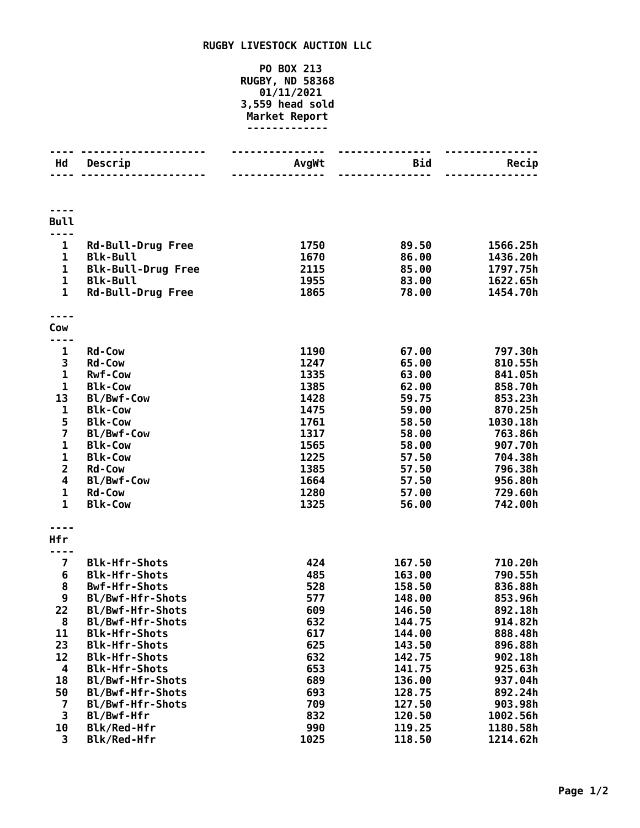## **RUGBY LIVESTOCK AUCTION LLC**

## **PO BOX 213 RUGBY, ND 58368 01/11/2021 3,559 head sold Market Report -------------**

| Hd                             | Descrip                                      | AvgWt        | Bid<br><u> - - - - - - - - - </u> | Recip                |
|--------------------------------|----------------------------------------------|--------------|-----------------------------------|----------------------|
|                                |                                              |              |                                   |                      |
| <b>Bull</b>                    |                                              |              |                                   |                      |
|                                |                                              |              |                                   |                      |
| $\mathbf{1}$                   | <b>Rd-Bull-Drug Free</b>                     | 1750         | 89.50                             | 1566.25h             |
| $\mathbf{1}$                   | <b>Blk-Bull</b>                              | 1670         | 86.00<br>85.00                    | 1436.20h             |
| $\mathbf{1}$<br>$\mathbf{1}$   | <b>Blk-Bull-Drug Free</b><br><b>Blk-Bull</b> | 2115<br>1955 | 83.00                             | 1797.75h<br>1622.65h |
| $\mathbf{1}$                   | <b>Rd-Bull-Drug Free</b>                     | 1865         | 78.00                             | 1454.70h             |
|                                |                                              |              |                                   |                      |
| Cow                            |                                              |              |                                   |                      |
| .<br>$\mathbf{1}$              | <b>Rd-Cow</b>                                | 1190         | 67.00                             | 797.30h              |
| 3                              | <b>Rd-Cow</b>                                | 1247         | 65.00                             | 810.55h              |
| $\mathbf{1}$                   | <b>Rwf-Cow</b>                               | 1335         | 63.00                             | 841.05h              |
| $\mathbf{1}$                   | <b>Blk-Cow</b>                               | 1385         | 62.00                             | 858.70h              |
| 13                             | Bl/Bwf-Cow                                   | 1428         | 59.75                             | 853.23h              |
| 1                              | <b>Blk-Cow</b>                               | 1475         | 59.00                             | 870.25h              |
| 5                              | <b>Blk-Cow</b>                               | 1761         | 58.50                             | 1030.18h             |
| $\overline{\mathbf{z}}$        | Bl/Bwf-Cow                                   | 1317         | 58.00                             | 763.86h              |
| $\mathbf{1}$                   | <b>Blk-Cow</b>                               | 1565         | 58.00                             | 907.70h              |
| $\mathbf{1}$<br>$\overline{2}$ | <b>Blk-Cow</b><br><b>Rd-Cow</b>              | 1225<br>1385 | 57.50<br>57.50                    | 704.38h<br>796.38h   |
| 4                              | Bl/Bwf-Cow                                   | 1664         | 57.50                             | 956.80h              |
| $\mathbf 1$                    | <b>Rd-Cow</b>                                | 1280         | 57.00                             | 729.60h              |
| $\mathbf{1}$                   | <b>Blk-Cow</b>                               | 1325         | 56.00                             | 742.00h              |
|                                |                                              |              |                                   |                      |
| Hfr                            |                                              |              |                                   |                      |
|                                |                                              |              |                                   |                      |
| $\overline{\mathbf{z}}$        | <b>Blk-Hfr-Shots</b><br><b>Blk-Hfr-Shots</b> | 424<br>485   | 167.50<br>163.00                  | 710.20h<br>790.55h   |
| 6<br>8                         | <b>Bwf-Hfr-Shots</b>                         | 528          | 158.50                            | 836.88h              |
| 9                              | Bl/Bwf-Hfr-Shots                             | 577          | 148.00                            | 853.96h              |
| 22                             | Bl/Bwf-Hfr-Shots                             | 609          | 146.50                            | 892.18h              |
| 8                              | Bl/Bwf-Hfr-Shots                             | 632          | 144.75                            | 914.82h              |
| 11                             | <b>Blk-Hfr-Shots</b>                         | 617          | 144.00                            | 888.48h              |
| 23                             | <b>Blk-Hfr-Shots</b>                         | 625          | 143.50                            | 896.88h              |
| 12                             | <b>Blk-Hfr-Shots</b>                         | 632          | 142.75                            | 902.18h              |
| 4                              | <b>Blk-Hfr-Shots</b>                         | 653          | 141.75                            | 925.63h              |
| 18                             | Bl/Bwf-Hfr-Shots                             | 689          | 136.00                            | 937.04h              |
| 50                             | Bl/Bwf-Hfr-Shots                             | 693          | 128.75                            | 892.24h              |
| 7                              | Bl/Bwf-Hfr-Shots                             | 709          | 127.50                            | 903.98h              |
| 3                              | Bl/Bwf-Hfr                                   | 832          | 120.50                            | 1002.56h             |
| 10<br>3                        | Blk/Red-Hfr<br>Blk/Red-Hfr                   | 990<br>1025  | 119.25<br>118.50                  | 1180.58h<br>1214.62h |
|                                |                                              |              |                                   |                      |